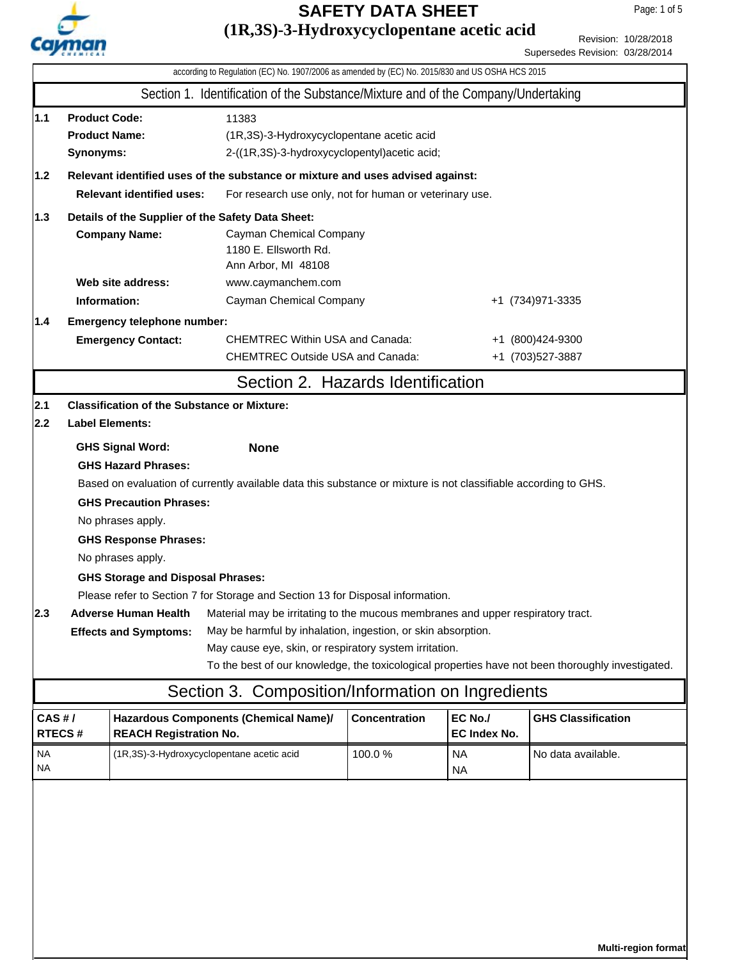

## **(1R,3S)-3-Hydroxycyclopentane acetic acid SAFETY DATA SHEET**

#### Revision: 10/28/2018 Supersedes Revision: 03/28/2014

| according to Regulation (EC) No. 1907/2006 as amended by (EC) No. 2015/830 and US OSHA HCS 2015 |                                                                                                                                                                                                                                                   |                                                                                                                                                                                                                                                                              |                                                                                                                                                                                                                                                                                                                                                                                                                                                                                    |        |                        |                                                                                                   |
|-------------------------------------------------------------------------------------------------|---------------------------------------------------------------------------------------------------------------------------------------------------------------------------------------------------------------------------------------------------|------------------------------------------------------------------------------------------------------------------------------------------------------------------------------------------------------------------------------------------------------------------------------|------------------------------------------------------------------------------------------------------------------------------------------------------------------------------------------------------------------------------------------------------------------------------------------------------------------------------------------------------------------------------------------------------------------------------------------------------------------------------------|--------|------------------------|---------------------------------------------------------------------------------------------------|
|                                                                                                 |                                                                                                                                                                                                                                                   |                                                                                                                                                                                                                                                                              | Section 1. Identification of the Substance/Mixture and of the Company/Undertaking                                                                                                                                                                                                                                                                                                                                                                                                  |        |                        |                                                                                                   |
| $1.1$<br>1.2                                                                                    | <b>Product Code:</b><br>11383<br><b>Product Name:</b><br>(1R,3S)-3-Hydroxycyclopentane acetic acid<br>2-((1R,3S)-3-hydroxycyclopentyl)acetic acid;<br>Synonyms:<br>Relevant identified uses of the substance or mixture and uses advised against: |                                                                                                                                                                                                                                                                              |                                                                                                                                                                                                                                                                                                                                                                                                                                                                                    |        |                        |                                                                                                   |
|                                                                                                 |                                                                                                                                                                                                                                                   | <b>Relevant identified uses:</b>                                                                                                                                                                                                                                             | For research use only, not for human or veterinary use.                                                                                                                                                                                                                                                                                                                                                                                                                            |        |                        |                                                                                                   |
| 1.3                                                                                             |                                                                                                                                                                                                                                                   | <b>Company Name:</b>                                                                                                                                                                                                                                                         | Details of the Supplier of the Safety Data Sheet:<br>Cayman Chemical Company<br>1180 E. Ellsworth Rd.<br>Ann Arbor, MI 48108                                                                                                                                                                                                                                                                                                                                                       |        |                        |                                                                                                   |
|                                                                                                 |                                                                                                                                                                                                                                                   | Web site address:                                                                                                                                                                                                                                                            | www.caymanchem.com                                                                                                                                                                                                                                                                                                                                                                                                                                                                 |        |                        |                                                                                                   |
|                                                                                                 | Information:                                                                                                                                                                                                                                      |                                                                                                                                                                                                                                                                              | Cayman Chemical Company                                                                                                                                                                                                                                                                                                                                                                                                                                                            |        |                        | +1 (734) 971-3335                                                                                 |
| 1.4                                                                                             |                                                                                                                                                                                                                                                   | Emergency telephone number:                                                                                                                                                                                                                                                  |                                                                                                                                                                                                                                                                                                                                                                                                                                                                                    |        |                        |                                                                                                   |
|                                                                                                 |                                                                                                                                                                                                                                                   | <b>Emergency Contact:</b>                                                                                                                                                                                                                                                    | <b>CHEMTREC Within USA and Canada:</b><br><b>CHEMTREC Outside USA and Canada:</b>                                                                                                                                                                                                                                                                                                                                                                                                  |        |                        | +1 (800)424-9300<br>+1 (703) 527-3887                                                             |
|                                                                                                 |                                                                                                                                                                                                                                                   |                                                                                                                                                                                                                                                                              | Section 2. Hazards Identification                                                                                                                                                                                                                                                                                                                                                                                                                                                  |        |                        |                                                                                                   |
| 2.1                                                                                             |                                                                                                                                                                                                                                                   | <b>Classification of the Substance or Mixture:</b>                                                                                                                                                                                                                           |                                                                                                                                                                                                                                                                                                                                                                                                                                                                                    |        |                        |                                                                                                   |
| 2.2                                                                                             | <b>Label Elements:</b>                                                                                                                                                                                                                            |                                                                                                                                                                                                                                                                              |                                                                                                                                                                                                                                                                                                                                                                                                                                                                                    |        |                        |                                                                                                   |
| 2.3                                                                                             |                                                                                                                                                                                                                                                   | <b>GHS Signal Word:</b><br><b>GHS Hazard Phrases:</b><br><b>GHS Precaution Phrases:</b><br>No phrases apply.<br><b>GHS Response Phrases:</b><br>No phrases apply.<br><b>GHS Storage and Disposal Phrases:</b><br><b>Adverse Human Health</b><br><b>Effects and Symptoms:</b> | <b>None</b><br>Based on evaluation of currently available data this substance or mixture is not classifiable according to GHS.<br>Please refer to Section 7 for Storage and Section 13 for Disposal information.<br>Material may be irritating to the mucous membranes and upper respiratory tract.<br>May be harmful by inhalation, ingestion, or skin absorption.<br>May cause eye, skin, or respiratory system irritation.<br>Section 3. Composition/Information on Ingredients |        |                        | To the best of our knowledge, the toxicological properties have not been thoroughly investigated. |
| CAS#/                                                                                           |                                                                                                                                                                                                                                                   |                                                                                                                                                                                                                                                                              | Hazardous Components (Chemical Name)/                                                                                                                                                                                                                                                                                                                                                                                                                                              |        | EC No./                | <b>GHS Classification</b>                                                                         |
| RTECS#                                                                                          |                                                                                                                                                                                                                                                   | <b>REACH Registration No.</b>                                                                                                                                                                                                                                                |                                                                                                                                                                                                                                                                                                                                                                                                                                                                                    |        | EC Index No.           |                                                                                                   |
| <b>NA</b><br>NA                                                                                 |                                                                                                                                                                                                                                                   | (1R,3S)-3-Hydroxycyclopentane acetic acid                                                                                                                                                                                                                                    |                                                                                                                                                                                                                                                                                                                                                                                                                                                                                    | 100.0% | <b>NA</b><br><b>NA</b> | No data available.                                                                                |
|                                                                                                 |                                                                                                                                                                                                                                                   |                                                                                                                                                                                                                                                                              |                                                                                                                                                                                                                                                                                                                                                                                                                                                                                    |        |                        |                                                                                                   |

**Multi-region format**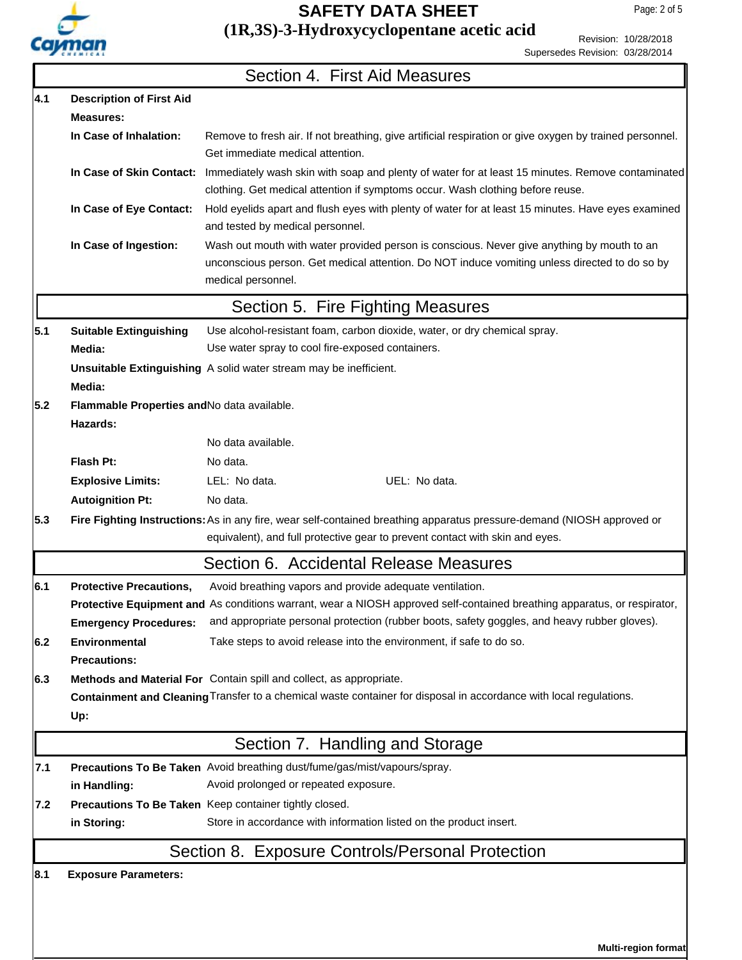

## **(1R,3S)-3-Hydroxycyclopentane acetic acid SAFETY DATA SHEET**

Revision: 10/28/2018 Supersedes Revision: 03/28/2014

|     |                                                                                                                    | Section 4. First Aid Measures                                                                                                                                                                                     |  |  |  |  |
|-----|--------------------------------------------------------------------------------------------------------------------|-------------------------------------------------------------------------------------------------------------------------------------------------------------------------------------------------------------------|--|--|--|--|
| 4.1 | <b>Description of First Aid</b>                                                                                    |                                                                                                                                                                                                                   |  |  |  |  |
|     | <b>Measures:</b>                                                                                                   |                                                                                                                                                                                                                   |  |  |  |  |
|     | In Case of Inhalation:                                                                                             | Remove to fresh air. If not breathing, give artificial respiration or give oxygen by trained personnel.<br>Get immediate medical attention.                                                                       |  |  |  |  |
|     | In Case of Skin Contact:                                                                                           | Immediately wash skin with soap and plenty of water for at least 15 minutes. Remove contaminated<br>clothing. Get medical attention if symptoms occur. Wash clothing before reuse.                                |  |  |  |  |
|     | In Case of Eye Contact:                                                                                            | Hold eyelids apart and flush eyes with plenty of water for at least 15 minutes. Have eyes examined<br>and tested by medical personnel.                                                                            |  |  |  |  |
|     | In Case of Ingestion:                                                                                              | Wash out mouth with water provided person is conscious. Never give anything by mouth to an<br>unconscious person. Get medical attention. Do NOT induce vomiting unless directed to do so by<br>medical personnel. |  |  |  |  |
|     |                                                                                                                    | Section 5. Fire Fighting Measures                                                                                                                                                                                 |  |  |  |  |
| 5.1 | <b>Suitable Extinguishing</b>                                                                                      | Use alcohol-resistant foam, carbon dioxide, water, or dry chemical spray.                                                                                                                                         |  |  |  |  |
|     | Media:                                                                                                             | Use water spray to cool fire-exposed containers.                                                                                                                                                                  |  |  |  |  |
|     | Media:                                                                                                             | Unsuitable Extinguishing A solid water stream may be inefficient.                                                                                                                                                 |  |  |  |  |
| 5.2 | Flammable Properties and No data available.<br>Hazards:                                                            |                                                                                                                                                                                                                   |  |  |  |  |
|     |                                                                                                                    | No data available.                                                                                                                                                                                                |  |  |  |  |
|     | Flash Pt:                                                                                                          | No data.                                                                                                                                                                                                          |  |  |  |  |
|     | <b>Explosive Limits:</b>                                                                                           | LEL: No data.<br>UEL: No data.                                                                                                                                                                                    |  |  |  |  |
|     | <b>Autoignition Pt:</b>                                                                                            | No data.                                                                                                                                                                                                          |  |  |  |  |
| 5.3 |                                                                                                                    | Fire Fighting Instructions: As in any fire, wear self-contained breathing apparatus pressure-demand (NIOSH approved or<br>equivalent), and full protective gear to prevent contact with skin and eyes.            |  |  |  |  |
|     |                                                                                                                    | Section 6. Accidental Release Measures                                                                                                                                                                            |  |  |  |  |
| 6.1 | <b>Protective Precautions,</b>                                                                                     | Avoid breathing vapors and provide adequate ventilation.                                                                                                                                                          |  |  |  |  |
|     |                                                                                                                    | Protective Equipment and As conditions warrant, wear a NIOSH approved self-contained breathing apparatus, or respirator,                                                                                          |  |  |  |  |
|     | <b>Emergency Procedures:</b>                                                                                       | and appropriate personal protection (rubber boots, safety goggles, and heavy rubber gloves).                                                                                                                      |  |  |  |  |
| 6.2 | <b>Environmental</b>                                                                                               | Take steps to avoid release into the environment, if safe to do so.                                                                                                                                               |  |  |  |  |
|     | <b>Precautions:</b>                                                                                                |                                                                                                                                                                                                                   |  |  |  |  |
| 6.3 |                                                                                                                    | Methods and Material For Contain spill and collect, as appropriate.                                                                                                                                               |  |  |  |  |
|     | Containment and Cleaning Transfer to a chemical waste container for disposal in accordance with local regulations. |                                                                                                                                                                                                                   |  |  |  |  |
|     | Up:                                                                                                                |                                                                                                                                                                                                                   |  |  |  |  |
|     |                                                                                                                    | Section 7. Handling and Storage                                                                                                                                                                                   |  |  |  |  |
| 7.1 |                                                                                                                    | Precautions To Be Taken Avoid breathing dust/fume/gas/mist/vapours/spray.                                                                                                                                         |  |  |  |  |
|     | in Handling:                                                                                                       | Avoid prolonged or repeated exposure.                                                                                                                                                                             |  |  |  |  |
| 7.2 |                                                                                                                    | Precautions To Be Taken Keep container tightly closed.                                                                                                                                                            |  |  |  |  |
|     | in Storing:                                                                                                        | Store in accordance with information listed on the product insert.                                                                                                                                                |  |  |  |  |
|     |                                                                                                                    | Section 8. Exposure Controls/Personal Protection                                                                                                                                                                  |  |  |  |  |
| 8.1 | <b>Exposure Parameters:</b>                                                                                        |                                                                                                                                                                                                                   |  |  |  |  |
|     |                                                                                                                    |                                                                                                                                                                                                                   |  |  |  |  |

**Multi-region format**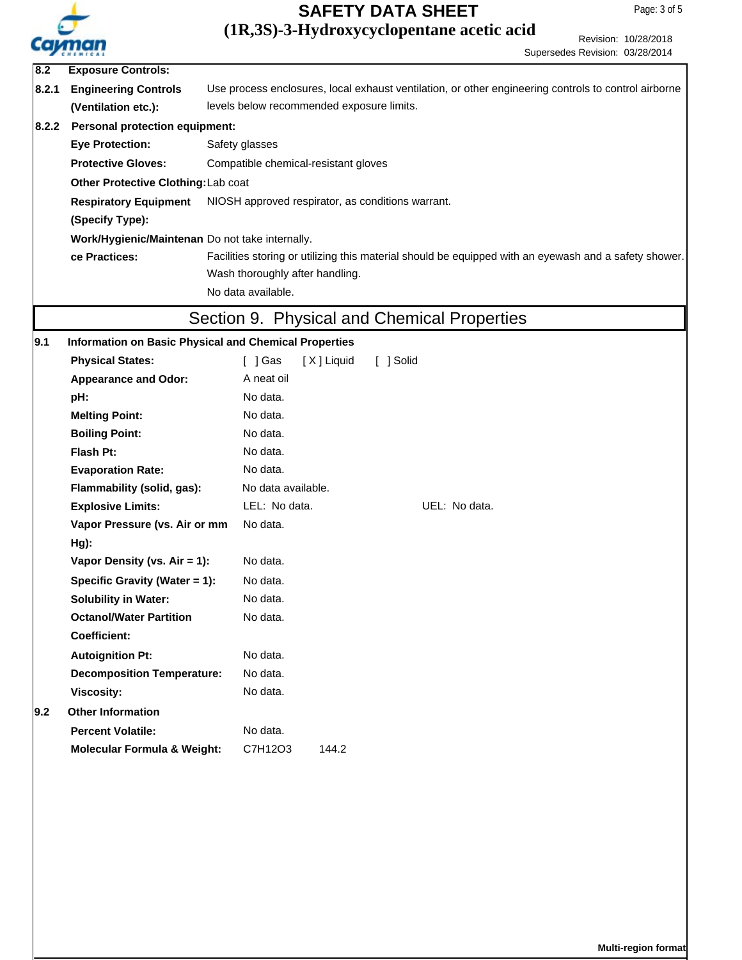

# **SAFETY DATA SHEET**

## **(1R,3S)-3-Hydroxycyclopentane acetic acid**

Revision: 10/28/2018 Supersedes Revision: 03/28/2014

| 8.2   | <b>Exposure Controls:</b>                             |                                                                                                       |  |  |  |  |
|-------|-------------------------------------------------------|-------------------------------------------------------------------------------------------------------|--|--|--|--|
| 8.2.1 | <b>Engineering Controls</b>                           | Use process enclosures, local exhaust ventilation, or other engineering controls to control airborne  |  |  |  |  |
|       | (Ventilation etc.):                                   | levels below recommended exposure limits.                                                             |  |  |  |  |
| 8.2.2 | <b>Personal protection equipment:</b>                 |                                                                                                       |  |  |  |  |
|       | <b>Eye Protection:</b>                                | Safety glasses                                                                                        |  |  |  |  |
|       | <b>Protective Gloves:</b>                             | Compatible chemical-resistant gloves                                                                  |  |  |  |  |
|       | Other Protective Clothing: Lab coat                   |                                                                                                       |  |  |  |  |
|       | <b>Respiratory Equipment</b>                          | NIOSH approved respirator, as conditions warrant.                                                     |  |  |  |  |
|       | (Specify Type):                                       |                                                                                                       |  |  |  |  |
|       | Work/Hygienic/Maintenan Do not take internally.       |                                                                                                       |  |  |  |  |
|       | ce Practices:                                         | Facilities storing or utilizing this material should be equipped with an eyewash and a safety shower. |  |  |  |  |
|       |                                                       | Wash thoroughly after handling.                                                                       |  |  |  |  |
|       |                                                       | No data available.                                                                                    |  |  |  |  |
|       |                                                       | Section 9. Physical and Chemical Properties                                                           |  |  |  |  |
| 9.1   | Information on Basic Physical and Chemical Properties |                                                                                                       |  |  |  |  |
|       | <b>Physical States:</b>                               | [ ] Solid<br>[ ] Gas<br>[X] Liquid                                                                    |  |  |  |  |
|       | <b>Appearance and Odor:</b>                           | A neat oil                                                                                            |  |  |  |  |
|       | pH:                                                   | No data.                                                                                              |  |  |  |  |
|       | <b>Melting Point:</b>                                 | No data.                                                                                              |  |  |  |  |
|       | <b>Boiling Point:</b>                                 | No data.                                                                                              |  |  |  |  |
|       | Flash Pt:                                             | No data.                                                                                              |  |  |  |  |
|       | <b>Evaporation Rate:</b>                              | No data.                                                                                              |  |  |  |  |
|       | Flammability (solid, gas):                            | No data available.                                                                                    |  |  |  |  |
|       | <b>Explosive Limits:</b>                              | LEL: No data.<br>UEL: No data.                                                                        |  |  |  |  |
|       | Vapor Pressure (vs. Air or mm                         | No data.                                                                                              |  |  |  |  |
|       | $Hg$ :                                                |                                                                                                       |  |  |  |  |
|       | Vapor Density (vs. Air = 1):                          | No data.                                                                                              |  |  |  |  |
|       | Specific Gravity (Water = 1):                         | No data.                                                                                              |  |  |  |  |
|       | <b>Solubility in Water:</b>                           | No data.                                                                                              |  |  |  |  |
|       | <b>Octanol/Water Partition</b>                        | No data.                                                                                              |  |  |  |  |
|       | <b>Coefficient:</b>                                   |                                                                                                       |  |  |  |  |
|       | <b>Autoignition Pt:</b>                               | No data.                                                                                              |  |  |  |  |
|       | <b>Decomposition Temperature:</b>                     | No data.                                                                                              |  |  |  |  |
|       | <b>Viscosity:</b>                                     | No data.                                                                                              |  |  |  |  |
| 19.2  | <b>Other Information</b>                              |                                                                                                       |  |  |  |  |
|       | <b>Percent Volatile:</b>                              | No data.                                                                                              |  |  |  |  |
|       | <b>Molecular Formula &amp; Weight:</b>                | C7H12O3<br>144.2                                                                                      |  |  |  |  |
|       |                                                       |                                                                                                       |  |  |  |  |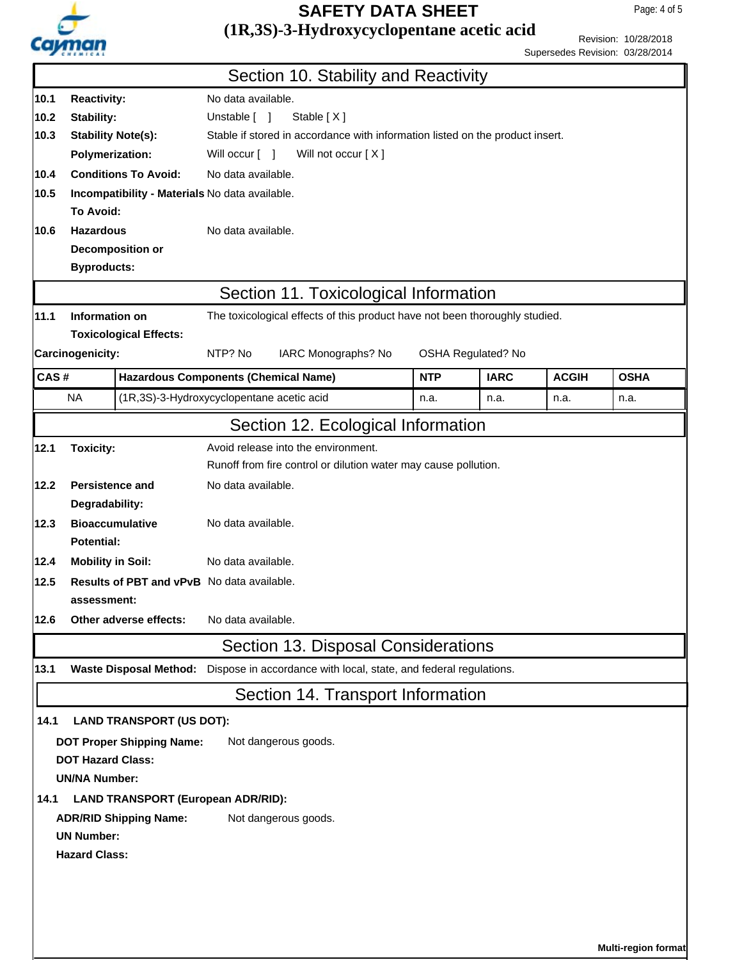

# **SAFETY DATA SHEET**

## **(1R,3S)-3-Hydroxycyclopentane acetic acid**

Revision: 10/28/2018 Supersedes Revision: 03/28/2014

|      |                                                   |                                                |                                                                               | Section 10. Stability and Reactivity                                        |            |             |              |                     |  |
|------|---------------------------------------------------|------------------------------------------------|-------------------------------------------------------------------------------|-----------------------------------------------------------------------------|------------|-------------|--------------|---------------------|--|
| 10.1 | <b>Reactivity:</b>                                |                                                | No data available.                                                            |                                                                             |            |             |              |                     |  |
| 10.2 | Stability:                                        |                                                | Unstable [ ]<br>Stable $[X]$                                                  |                                                                             |            |             |              |                     |  |
| 10.3 |                                                   | <b>Stability Note(s):</b>                      | Stable if stored in accordance with information listed on the product insert. |                                                                             |            |             |              |                     |  |
|      | <b>Polymerization:</b>                            |                                                | Will occur [ ]                                                                | Will not occur [X]                                                          |            |             |              |                     |  |
| 10.4 |                                                   | <b>Conditions To Avoid:</b>                    | No data available.                                                            |                                                                             |            |             |              |                     |  |
| 10.5 |                                                   | Incompatibility - Materials No data available. |                                                                               |                                                                             |            |             |              |                     |  |
|      | <b>To Avoid:</b>                                  |                                                |                                                                               |                                                                             |            |             |              |                     |  |
| 10.6 | <b>Hazardous</b>                                  |                                                | No data available.                                                            |                                                                             |            |             |              |                     |  |
|      | Decomposition or                                  |                                                |                                                                               |                                                                             |            |             |              |                     |  |
|      | <b>Byproducts:</b>                                |                                                |                                                                               |                                                                             |            |             |              |                     |  |
|      |                                                   |                                                |                                                                               | Section 11. Toxicological Information                                       |            |             |              |                     |  |
| 11.1 | Information on                                    |                                                |                                                                               | The toxicological effects of this product have not been thoroughly studied. |            |             |              |                     |  |
|      |                                                   | <b>Toxicological Effects:</b>                  |                                                                               |                                                                             |            |             |              |                     |  |
|      | Carcinogenicity:                                  |                                                | NTP? No<br>IARC Monographs? No<br>OSHA Regulated? No                          |                                                                             |            |             |              |                     |  |
| CAS# |                                                   | <b>Hazardous Components (Chemical Name)</b>    |                                                                               |                                                                             | <b>NTP</b> | <b>IARC</b> | <b>ACGIH</b> | <b>OSHA</b>         |  |
|      | <b>NA</b>                                         | (1R,3S)-3-Hydroxycyclopentane acetic acid      |                                                                               |                                                                             | n.a.       | n.a.        | n.a.         | n.a.                |  |
|      |                                                   |                                                |                                                                               |                                                                             |            |             |              |                     |  |
|      |                                                   |                                                |                                                                               | Section 12. Ecological Information                                          |            |             |              |                     |  |
| 12.1 | <b>Toxicity:</b>                                  |                                                |                                                                               | Avoid release into the environment.                                         |            |             |              |                     |  |
|      |                                                   |                                                | Runoff from fire control or dilution water may cause pollution.               |                                                                             |            |             |              |                     |  |
| 12.2 | <b>Persistence and</b>                            |                                                | No data available.                                                            |                                                                             |            |             |              |                     |  |
|      | Degradability:                                    |                                                |                                                                               |                                                                             |            |             |              |                     |  |
| 12.3 |                                                   | <b>Bioaccumulative</b>                         | No data available.                                                            |                                                                             |            |             |              |                     |  |
|      | <b>Potential:</b>                                 |                                                |                                                                               |                                                                             |            |             |              |                     |  |
| 12.4 | No data available.<br><b>Mobility in Soil:</b>    |                                                |                                                                               |                                                                             |            |             |              |                     |  |
| 12.5 | <b>Results of PBT and vPvB</b> No data available. |                                                |                                                                               |                                                                             |            |             |              |                     |  |
|      | assessment:                                       |                                                |                                                                               |                                                                             |            |             |              |                     |  |
| 12.6 | No data available.<br>Other adverse effects:      |                                                |                                                                               |                                                                             |            |             |              |                     |  |
|      |                                                   |                                                |                                                                               | Section 13. Disposal Considerations                                         |            |             |              |                     |  |
| 13.1 |                                                   | <b>Waste Disposal Method:</b>                  |                                                                               | Dispose in accordance with local, state, and federal regulations.           |            |             |              |                     |  |
|      |                                                   |                                                |                                                                               | Section 14. Transport Information                                           |            |             |              |                     |  |
| 14.1 |                                                   | <b>LAND TRANSPORT (US DOT):</b>                |                                                                               |                                                                             |            |             |              |                     |  |
|      |                                                   | <b>DOT Proper Shipping Name:</b>               |                                                                               | Not dangerous goods.                                                        |            |             |              |                     |  |
|      | <b>DOT Hazard Class:</b>                          |                                                |                                                                               |                                                                             |            |             |              |                     |  |
|      | <b>UN/NA Number:</b>                              |                                                |                                                                               |                                                                             |            |             |              |                     |  |
| 14.1 |                                                   | <b>LAND TRANSPORT (European ADR/RID):</b>      |                                                                               |                                                                             |            |             |              |                     |  |
|      |                                                   | <b>ADR/RID Shipping Name:</b>                  |                                                                               | Not dangerous goods.                                                        |            |             |              |                     |  |
|      | <b>UN Number:</b>                                 |                                                |                                                                               |                                                                             |            |             |              |                     |  |
|      | <b>Hazard Class:</b>                              |                                                |                                                                               |                                                                             |            |             |              |                     |  |
|      |                                                   |                                                |                                                                               |                                                                             |            |             |              |                     |  |
|      |                                                   |                                                |                                                                               |                                                                             |            |             |              |                     |  |
|      |                                                   |                                                |                                                                               |                                                                             |            |             |              |                     |  |
|      |                                                   |                                                |                                                                               |                                                                             |            |             |              |                     |  |
|      |                                                   |                                                |                                                                               |                                                                             |            |             |              | Multi-region format |  |